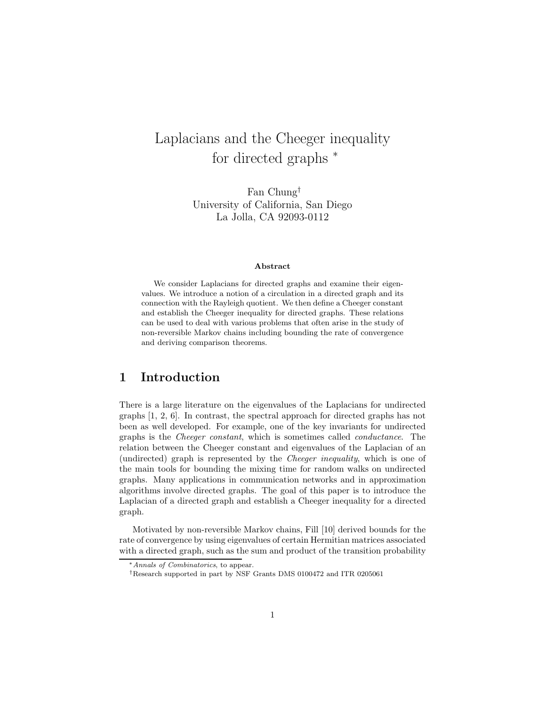# Laplacians and the Cheeger inequality for directed graphs  $*$

Fan Chung<sup>†</sup><br>University of California, San Diego  $\begin{bmatrix} 1a & \text{Iolla} & \text{CA} & 92093-0112 \end{bmatrix}$ La Jolla, CA 92093-0112

#### **Abstract**

We consider Laplacians for directed graphs and examine their eigenvalues. We introduce a notion of a circulation in a directed graph and its connection with the Rayleigh quotient. We then define a Cheeger constant and establish the Cheeger inequality for directed graphs. These relations can be used to deal with various problems that often arise in the study of non-reversible Markov chains including bounding the rate of convergence and deriving comparison theorems.

#### **1 Introduction**

There is a large literature on the eigenvalues of the Laplacians for undirected graphs [1, 2, 6]. In contrast, the spectral approach for directed graphs has not been as well developed. For example, one of the key invariants for undirected graphs is the *Cheeger constant*, which is sometimes called *conductance*. The relation between the Cheeger constant and eigenvalues of the Laplacian of an (undirected) graph is represented by the *Cheeger inequality*, which is one of the main tools for bounding the mixing time for random walks on undirected graphs. Many applications in communication networks and in approximation algorithms involve directed graphs. The goal of this paper is to introduce the Laplacian of a directed graph and establish a Cheeger inequality for a directed graph.

Motivated by non-reversible Markov chains, Fill [10] derived bounds for the rate of convergence by using eigenvalues of certain Hermitian matrices associated with a directed graph, such as the sum and product of the transition probability

<sup>∗</sup>Annals of Combinatorics, to appear.

<sup>†</sup>Research supported in part by NSF Grants DMS 0100472 and ITR 0205061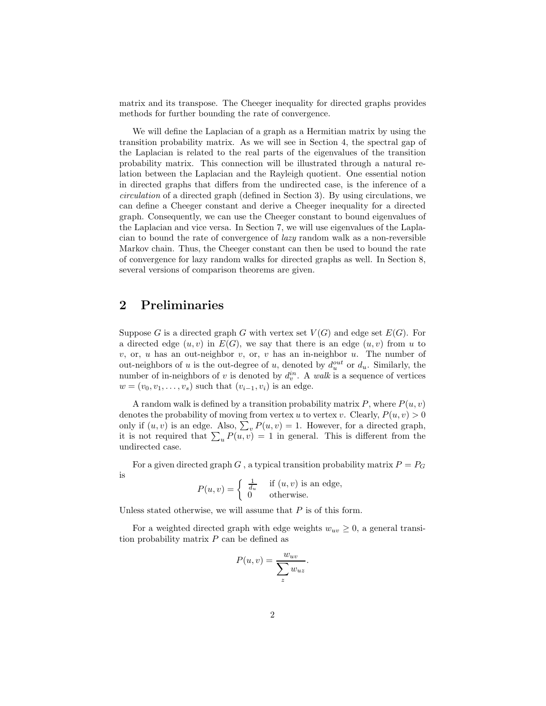matrix and its transpose. The Cheeger inequality for directed graphs provides methods for further bounding the rate of convergence.

We will define the Laplacian of a graph as a Hermitian matrix by using the transition probability matrix. As we will see in Section 4, the spectral gap of the Laplacian is related to the real parts of the eigenvalues of the transition probability matrix. This connection will be illustrated through a natural relation between the Laplacian and the Rayleigh quotient. One essential notion in directed graphs that differs from the undirected case, is the inference of a *circulation* of a directed graph (defined in Section 3). By using circulations, we can define a Cheeger constant and derive a Cheeger inequality for a directed graph. Consequently, we can use the Cheeger constant to bound eigenvalues of the Laplacian and vice versa. In Section 7, we will use eigenvalues of the Laplacian to bound the rate of convergence of *lazy* random walk as a non-reversible Markov chain. Thus, the Cheeger constant can then be used to bound the rate of convergence for lazy random walks for directed graphs as well. In Section 8, several versions of comparison theorems are given.

#### **2 Preliminaries**

Suppose G is a directed graph G with vertex set  $V(G)$  and edge set  $E(G)$ . For a directed edge  $(u, v)$  in  $E(G)$ , we say that there is an edge  $(u, v)$  from u to v, or, u has an out-neighbor v, or, v has an in-neighbor u. The number of out-neighbors of u is the out-degree of u, denoted by  $d_u^{out}$  or  $d_u$ . Similarly, the number of in-neighbors of v is denoted by  $d_v^{in}$ . A walk is a sequence of vertices  $w = (v_0, v_1, \ldots, v_s)$  such that  $(v_{i-1}, v_i)$  is an edge.

A random walk is defined by a transition probability matrix  $P$ , where  $P(u, v)$ denotes the probability of moving from vertex u to vertex v. Clearly,  $P(u, v) > 0$ only if  $(u, v)$  is an edge. Also,  $\sum_{v} P(u, v) = 1$ . However, for a directed graph, it is not required that  $\sum_{u} P(u, v) = 1$  in general. This is different from the undirected case.

For a given directed graph G, a typical transition probability matrix  $P = P_G$ is

$$
P(u, v) = \begin{cases} \frac{1}{d_u} & \text{if } (u, v) \text{ is an edge,} \\ 0 & \text{otherwise.} \end{cases}
$$

Unless stated otherwise, we will assume that  $P$  is of this form.

For a weighted directed graph with edge weights  $w_{uv} \geq 0$ , a general transition probability matrix  $P$  can be defined as

$$
P(u, v) = \frac{w_{uv}}{\sum_{z} w_{uz}}.
$$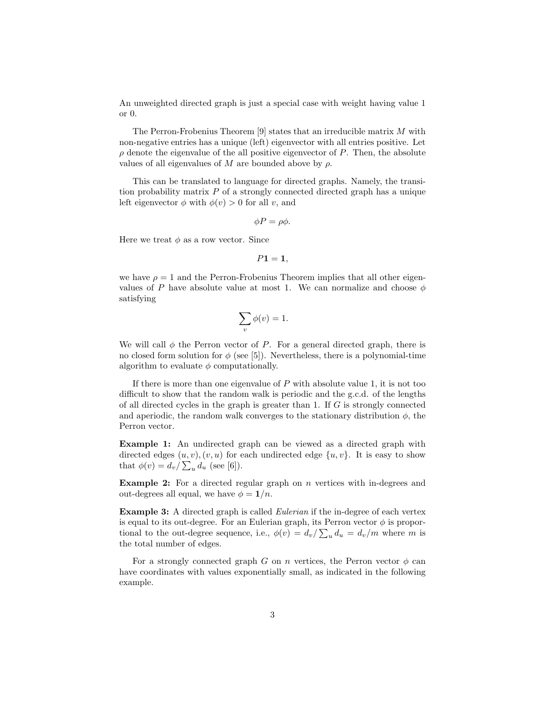An unweighted directed graph is just a special case with weight having value 1 or 0.

The Perron-Frobenius Theorem  $[9]$  states that an irreducible matrix M with non-negative entries has a unique (left) eigenvector with all entries positive. Let  $\rho$  denote the eigenvalue of the all positive eigenvector of P. Then, the absolute values of all eigenvalues of M are bounded above by  $\rho$ .

This can be translated to language for directed graphs. Namely, the transition probability matrix  $P$  of a strongly connected directed graph has a unique left eigenvector  $\phi$  with  $\phi(v) > 0$  for all v, and

$$
\phi P = \rho \phi.
$$

Here we treat  $\phi$  as a row vector. Since

$$
P1=1,
$$

we have  $\rho = 1$  and the Perron-Frobenius Theorem implies that all other eigenvalues of P have absolute value at most 1. We can normalize and choose  $\phi$ satisfying

$$
\sum_{v} \phi(v) = 1.
$$

We will call  $\phi$  the Perron vector of P. For a general directed graph, there is no closed form solution for  $\phi$  (see [5]). Nevertheless, there is a polynomial-time algorithm to evaluate  $\phi$  computationally.

If there is more than one eigenvalue of  $P$  with absolute value 1, it is not too difficult to show that the random walk is periodic and the g.c.d. of the lengths of all directed cycles in the graph is greater than 1. If  $G$  is strongly connected and aperiodic, the random walk converges to the stationary distribution  $\phi$ , the Perron vector.

**Example 1:** An undirected graph can be viewed as a directed graph with directed edges  $(u, v), (v, u)$  for each undirected edge  $\{u, v\}$ . It is easy to show that  $\phi(v) = d_v / \sum_u d_u$  (see [6]).

**Example 2:** For a directed regular graph on n vertices with in-degrees and out-degrees all equal, we have  $\phi = 1/n$ .

**Example 3:** A directed graph is called *Eulerian* if the in-degree of each vertex is equal to its out-degree. For an Eulerian graph, its Perron vector  $\phi$  is proportional to the out-degree sequence, i.e.,  $\phi(v) = d_v / \sum_u d_u = d_v / m$  where m is the total number of edges.

For a strongly connected graph G on n vertices, the Perron vector  $\phi$  can have coordinates with values exponentially small, as indicated in the following example.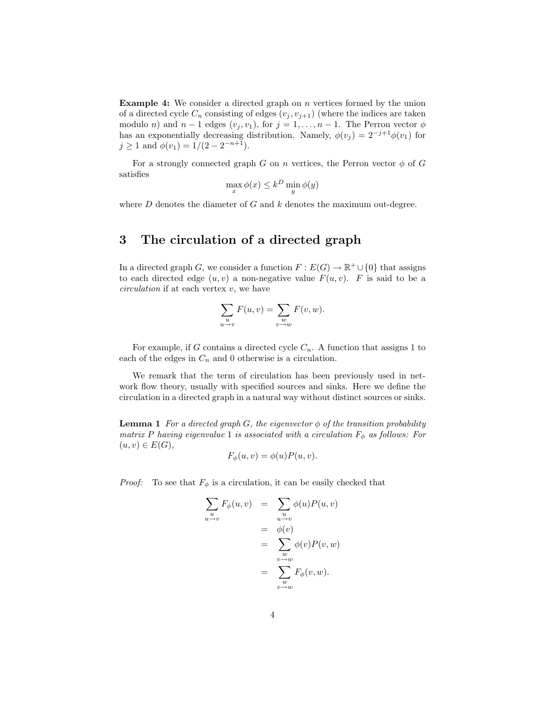**Example 4:** We consider a directed graph on *n* vertices formed by the union of a directed cycle  $C_n$  consisting of edges  $(v_i, v_{i+1})$  (where the indices are taken modulo *n*) and  $n-1$  edges  $(v_j, v_1)$ , for  $j = 1, \ldots, n-1$ . The Perron vector  $\phi$ has an exponentially decreasing distribution. Namely,  $\phi(v_j) = 2^{-j+1}\phi(v_1)$  for  $j \geq 1$  and  $\phi(v_1)=1/(2-2^{-n+1}).$ 

For a strongly connected graph G on n vertices, the Perron vector  $\phi$  of G satisfies

$$
\max_{x} \phi(x) \le k^D \min_{y} \phi(y)
$$

where  $D$  denotes the diameter of  $G$  and  $k$  denotes the maximum out-degree.

### **3 The circulation of a directed graph**

In a directed graph G, we consider a function  $F : E(G) \to \mathbb{R}^+ \cup \{0\}$  that assigns to each directed edge  $(u, v)$  a non-negative value  $F(u, v)$ . F is said to be a *circulation* if at each vertex v, we have

$$
\sum_{\substack{u\\u\to v}} F(u,v) = \sum_{\substack{w\\v\to w}} F(v,w).
$$

For example, if G contains a directed cycle  $C_n$ . A function that assigns 1 to each of the edges in  $C_n$  and 0 otherwise is a circulation.

We remark that the term of circulation has been previously used in network flow theory, usually with specified sources and sinks. Here we define the circulation in a directed graph in a natural way without distinct sources or sinks.

**Lemma 1** *For a directed graph G, the eigenvector*  $\phi$  *of the transition probability matrix* P *having eigenvalue* 1 *is associated with a circulation*  $F_{\phi}$  *as follows: For*  $(u, v) ∈ E(G)$ *,* 

$$
F_{\phi}(u, v) = \phi(u)P(u, v).
$$

*Proof:* To see that  $F_{\phi}$  is a circulation, it can be easily checked that

$$
\sum_{u \to v} F_{\phi}(u, v) = \sum_{u \to v} \phi(u) P(u, v)
$$
  
=  $\phi(v)$   
=  $\sum_{v \to w} \phi(v) P(v, w)$   
=  $\sum_{v \to w} F_{\phi}(v, w)$ .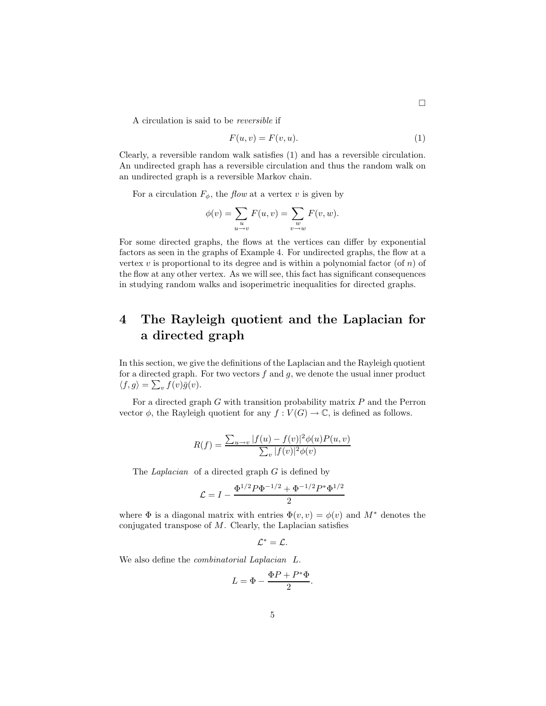A circulation is said to be *reversible* if

$$
F(u, v) = F(v, u). \tag{1}
$$

Clearly, a reversible random walk satisfies (1) and has a reversible circulation. An undirected graph has a reversible circulation and thus the random walk on an undirected graph is a reversible Markov chain.

For a circulation  $F_{\phi}$ , the *flow* at a vertex v is given by

$$
\phi(v) = \sum_{u \to v} F(u, v) = \sum_{v \to w} F(v, w).
$$

For some directed graphs, the flows at the vertices can differ by exponential factors as seen in the graphs of Example 4. For undirected graphs, the flow at a vertex v is proportional to its degree and is within a polynomial factor (of n) of the flow at any other vertex. As we will see, this fact has significant consequences in studying random walks and isoperimetric inequalities for directed graphs.

### **4 The Rayleigh quotient and the Laplacian for a directed graph**

In this section, we give the definitions of the Laplacian and the Rayleigh quotient for a directed graph. For two vectors  $f$  and  $g$ , we denote the usual inner product  $\langle f, g \rangle = \sum_v f(v) \overline{g}(v).$ 

For a directed graph  $G$  with transition probability matrix  $P$  and the Perron vector  $\phi$ , the Rayleigh quotient for any  $f: V(G) \to \mathbb{C}$ , is defined as follows.

$$
R(f) = \frac{\sum_{u \to v} |f(u) - f(v)|^2 \phi(u) P(u, v)}{\sum_{v} |f(v)|^2 \phi(v)}
$$

The *Laplacian* of a directed graph G is defined by

$$
\mathcal{L} = I - \frac{\Phi^{1/2} P \Phi^{-1/2} + \Phi^{-1/2} P^* \Phi^{1/2}}{2}
$$

where  $\Phi$  is a diagonal matrix with entries  $\Phi(v, v) = \phi(v)$  and  $M^*$  denotes the conjugated transpose of  $M$ . Clearly, the Laplacian satisfies

$$
\mathcal{L}^*=\mathcal{L}.
$$

We also define the *combinatorial Laplacian* L.

$$
L = \Phi - \frac{\Phi P + P^* \Phi}{2}.
$$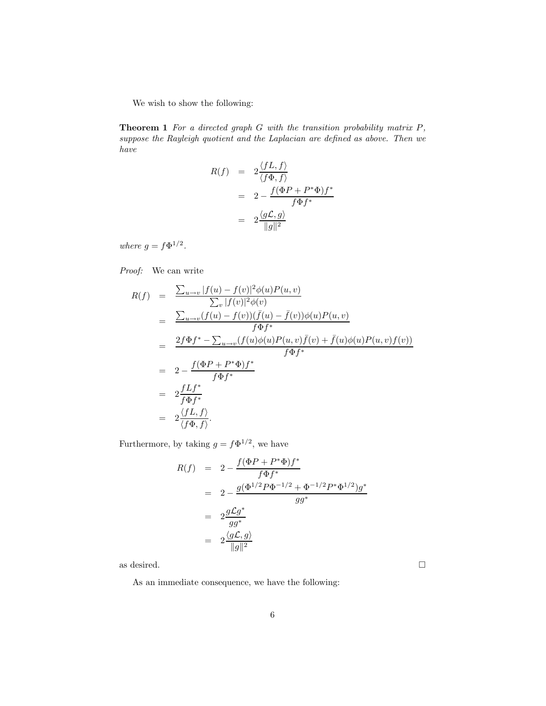We wish to show the following:

**Theorem 1** *For a directed graph* G *with the transition probability matrix* P*, suppose the Rayleigh quotient and the Laplacian are defined as above. Then we have*

$$
R(f) = 2 \frac{\langle fL, f \rangle}{\langle f\Phi, f \rangle}
$$
  
= 
$$
2 - \frac{f(\Phi P + P^* \Phi) f^*}{f \Phi f^*}
$$
  
= 
$$
2 \frac{\langle gL, g \rangle}{\|g\|^2}
$$

*where*  $g = f\Phi^{1/2}$ *.* 

*Proof:* We can write

$$
R(f) = \frac{\sum_{u \to v} |f(u) - f(v)|^2 \phi(u) P(u, v)}{\sum_v |f(v)|^2 \phi(v)}
$$
  
\n
$$
= \frac{\sum_{u \to v} (f(u) - f(v)) (\bar{f}(u) - \bar{f}(v)) \phi(u) P(u, v)}{f \Phi f^*}
$$
  
\n
$$
= \frac{2f \Phi f^* - \sum_{u \to v} (f(u) \phi(u) P(u, v) \bar{f}(v) + \bar{f}(u) \phi(u) P(u, v) f(v))}{f \Phi f^*}
$$
  
\n
$$
= 2 - \frac{f(\Phi P + P^* \Phi) f^*}{f \Phi f^*}
$$
  
\n
$$
= 2 \frac{f L f^*}{f \Phi f^*}
$$
  
\n
$$
= 2 \frac{\langle f L, f \rangle}{\langle f \Phi, f \rangle}.
$$

Furthermore, by taking  $g = f \Phi^{1/2}$ , we have

$$
R(f) = 2 - \frac{f(\Phi P + P^* \Phi) f^*}{f \Phi f^*}
$$
  
=  $2 - \frac{g(\Phi^{1/2} P \Phi^{-1/2} + \Phi^{-1/2} P^* \Phi^{1/2}) g^*}{gg^*}$   
=  $2 \frac{g \mathcal{L} g^*}{gg^*}$   
=  $2 \frac{\langle g \mathcal{L}, g \rangle}{\|g\|^2}$ 

as desired.  $\hfill \square$ 

As an immediate consequence, we have the following: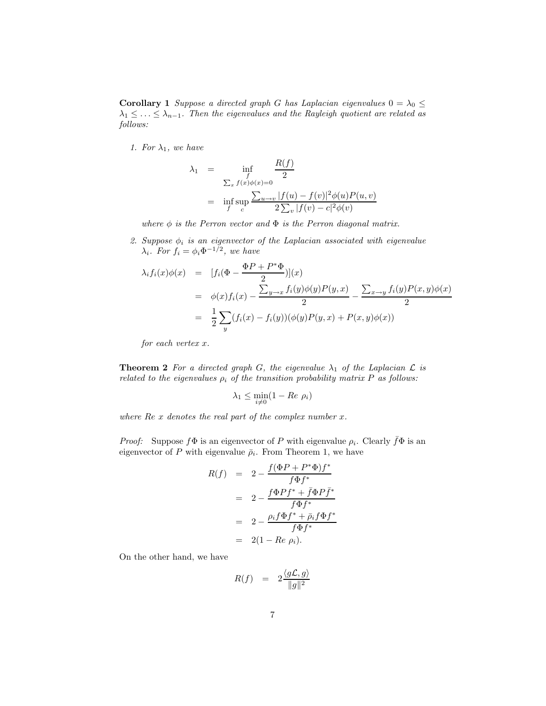**Corollary 1** *Suppose a directed graph* G *has Laplacian eigenvalues*  $0 = \lambda_0 \leq$  $\lambda_1 \leq \ldots \leq \lambda_{n-1}$ . Then the eigenvalues and the Rayleigh quotient are related as *follows:*

*1. For*  $\lambda_1$ *, we have* 

$$
\lambda_1 = \inf_{\substack{f \\ \sum_x f(x)\phi(x)=0}} \frac{R(f)}{2}
$$
  
= 
$$
\inf_{f} \sup_{c} \frac{\sum_{u \to v} |f(u) - f(v)|^2 \phi(u) P(u, v)}{2 \sum_{v} |f(v) - c|^2 \phi(v)}
$$

*where*  $\phi$  *is the Perron vector and*  $\Phi$  *is the Perron diagonal matrix.* 

2. Suppose  $\phi_i$  *is an eigenvector of the Laplacian associated with eigenvalue*  $\lambda_i$ *. For*  $f_i = \phi_i \Phi^{-1/2}$ *, we have* 

$$
\lambda_i f_i(x)\phi(x) = [f_i(\Phi - \frac{\Phi P + P^*\Phi}{2})](x)
$$
  
=  $\phi(x)f_i(x) - \frac{\sum_{y \to x} f_i(y)\phi(y)P(y,x)}{2} - \frac{\sum_{x \to y} f_i(y)P(x,y)\phi(x)}{2}$   
=  $\frac{1}{2}\sum_y (f_i(x) - f_i(y))(\phi(y)P(y,x) + P(x,y)\phi(x))$ 

*for each vertex* x*.*

**Theorem 2** For a directed graph G, the eigenvalue  $\lambda_1$  of the Laplacian  $\mathcal{L}$  is *related to the eigenvalues*  $\rho_i$  *of the transition probability matrix*  $P$  *as follows:* 

$$
\lambda_1 \le \min_{i \neq 0} (1 - Re \, \rho_i)
$$

*where* Re x *denotes the real part of the complex number* x*.*

*Proof:* Suppose  $f\Phi$  is an eigenvector of P with eigenvalue  $\rho_i$ . Clearly  $\bar{f}\Phi$  is an eigenvector of P with eigenvalue  $\bar{\rho}_i$ . From Theorem 1, we have

$$
R(f) = 2 - \frac{f(\Phi P + P^*\Phi)f^*}{f\Phi f^*}
$$
  
= 
$$
2 - \frac{f\Phi Pf^* + \bar{f}\Phi Pf^*}{f\Phi f^*}
$$
  
= 
$$
2 - \frac{\rho_i f\Phi f^* + \bar{\rho}_i f\Phi f^*}{f\Phi f^*}
$$
  
= 
$$
2(1 - Re \rho_i).
$$

On the other hand, we have

$$
R(f) = 2 \frac{\langle g\mathcal{L}, g \rangle}{\|g\|^2}
$$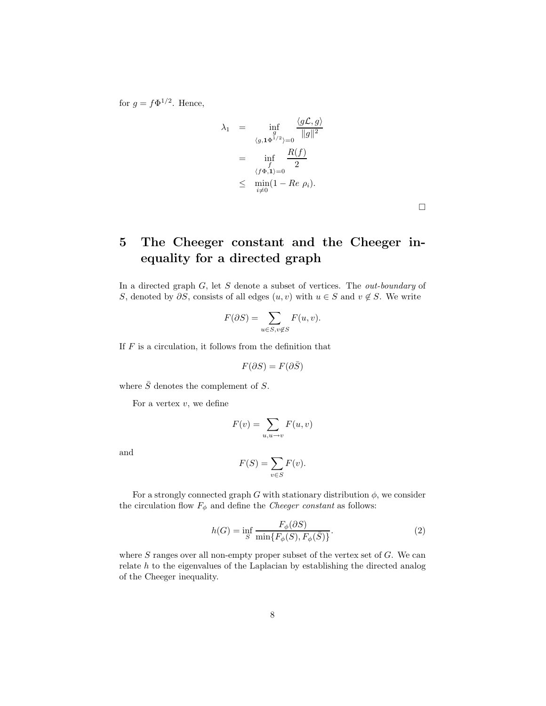for  $g = f\Phi^{1/2}$ . Hence,

$$
\lambda_1 = \inf_{\substack{g \\ (g, 1\Phi^{1/2})=0}} \frac{\langle g\mathcal{L}, g \rangle}{\|g\|^2}
$$

$$
= \inf_{\substack{f \\ \langle f\Phi, 1 \rangle=0}} \frac{R(f)}{2}
$$

$$
\leq \min_{i\neq 0} (1 - Re \rho_i).
$$

 $\Box$ 

## **5 The Cheeger constant and the Cheeger inequality for a directed graph**

In a directed graph G, let S denote a subset of vertices. The *out-boundary* of S, denoted by  $\partial S$ , consists of all edges  $(u, v)$  with  $u \in S$  and  $v \notin S$ . We write

$$
F(\partial S) = \sum_{u \in S, v \notin S} F(u, v).
$$

If  $F$  is a circulation, it follows from the definition that

$$
F(\partial S) = F(\partial \bar{S})
$$

where  $\bar{S}$  denotes the complement of  $S$ .

For a vertex  $v$ , we define

$$
F(v) = \sum_{u,u \to v} F(u,v)
$$

and

$$
F(S) = \sum_{v \in S} F(v).
$$

For a strongly connected graph G with stationary distribution  $\phi$ , we consider the circulation flow  $F_{\phi}$  and define the *Cheeger constant* as follows:

$$
h(G) = \inf_{S} \frac{F_{\phi}(\partial S)}{\min\{F_{\phi}(S), F_{\phi}(\bar{S})\}}.
$$
\n(2)

where  $S$  ranges over all non-empty proper subset of the vertex set of  $G$ . We can relate h to the eigenvalues of the Laplacian by establishing the directed analog of the Cheeger inequality.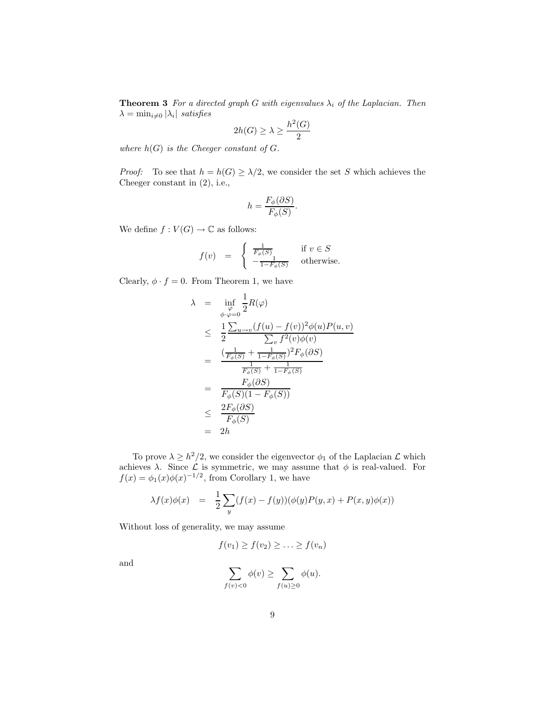**Theorem 3** *For a directed graph* G *with eigenvalues*  $\lambda_i$  *of the Laplacian. Then*  $\lambda = \min_{i \neq 0} |\lambda_i|$  *satisfies* 

$$
2h(G) \ge \lambda \ge \frac{h^2(G)}{2}
$$

*where*  $h(G)$  *is the Cheeger constant of G.* 

*Proof:* To see that  $h = h(G) \geq \lambda/2$ , we consider the set S which achieves the Cheeger constant in (2), i.e.,

$$
h = \frac{F_{\phi}(\partial S)}{F_{\phi}(S)}.
$$

We define  $f: V(G) \to \mathbb{C}$  as follows:

$$
f(v) \;\; = \;\; \left\{ \begin{array}{ll} \frac{1}{F_{\phi}(S)} & \text{if $v \in S$} \\ -\frac{1}{1-F_{\phi}(S)} & \text{otherwise.} \end{array} \right.
$$

 $\overline{a}$ 

Clearly,  $\phi \cdot f = 0$ . From Theorem 1, we have

λ = inf ϕ <sup>φ</sup>·ϕ=0 2 R(ϕ) ≤ 1 2 P <sup>u</sup>→<sup>v</sup>(f(u) <sup>−</sup> <sup>f</sup>(v))2φ(u)P(u, v) P <sup>v</sup> f <sup>2</sup>(v)φ(v) <sup>=</sup> ( <sup>1</sup> <sup>F</sup>φ(S) <sup>+</sup> <sup>1</sup> 1−Fφ(S) )2Fφ(∂S) 1 <sup>F</sup>φ(S) <sup>+</sup> <sup>1</sup> 1−Fφ(S) <sup>=</sup> <sup>F</sup>φ(∂S) Fφ(S)(1 − Fφ(S)) ≤ 2Fφ(∂S) Fφ(S) = 2h

To prove  $\lambda \geq h^2/2$ , we consider the eigenvector  $\phi_1$  of the Laplacian  $\mathcal L$  which achieves  $\lambda$ . Since  $\mathcal L$  is symmetric, we may assume that  $\phi$  is real-valued. For  $f(x) = \phi_1(x)\phi(x)^{-1/2}$ , from Corollary 1, we have

$$
\lambda f(x)\phi(x) = \frac{1}{2}\sum_{y}(f(x) - f(y))(\phi(y)P(y, x) + P(x, y)\phi(x))
$$

Without loss of generality, we may assume

$$
f(v_1) \ge f(v_2) \ge \ldots \ge f(v_n)
$$

and

$$
\sum_{f(v)<0}\phi(v)\geq \sum_{f(u)\geq 0}\phi(u).
$$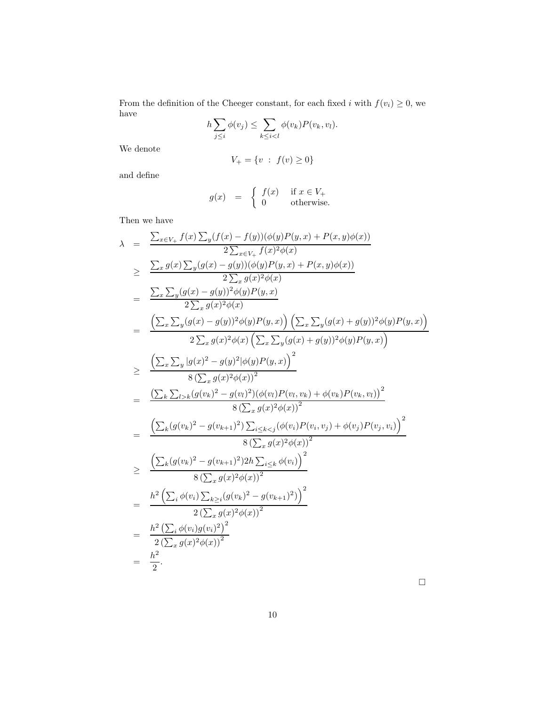From the definition of the Cheeger constant, for each fixed i with  $f(v_i) \geq 0$ , we have

$$
h\sum_{j\leq i}\phi(v_j)\leq \sum_{k\leq i
$$

We denote

$$
V_+ = \{ v \; : \; f(v) \ge 0 \}
$$

and define

$$
g(x) \quad = \quad \left\{ \begin{array}{ll} f(x) & \textrm{ if } x \in V_+ \\ 0 & \textrm{ otherwise.} \end{array} \right.
$$

Then we have

$$
\lambda = \frac{\sum_{x \in V_{+}} f(x) \sum_{y} (f(x) - f(y)) (\phi(y)P(y, x) + P(x, y)\phi(x))}{2 \sum_{x \in V_{+}} f(x)^{2}\phi(x)}
$$
\n
$$
\geq \frac{\sum_{x} g(x) \sum_{y} (g(x) - g(y)) (\phi(y)P(y, x) + P(x, y)\phi(x))}{2 \sum_{x} g(x)^{2}\phi(x)}
$$
\n
$$
= \frac{\sum_{x} \sum_{y} (g(x) - g(y))^{2}\phi(y)P(y, x)}{2 \sum_{x} g(x)^{2}\phi(x)}
$$
\n
$$
= \frac{\left(\sum_{x} \sum_{y} (g(x) - g(y))^{2}\phi(y)P(y, x)\right) \left(\sum_{x} \sum_{y} (g(x) + g(y))^{2}\phi(y)P(y, x)\right)}{2 \sum_{x} g(x)^{2}\phi(x) \left(\sum_{x} \sum_{y} (g(x) + g(y))^{2}\phi(y)P(y, x)\right)}
$$
\n
$$
\geq \frac{\left(\sum_{x} \sum_{y} |g(x)^{2} - g(y)^{2}|\phi(y)P(y, x)\right)^{2}}{8\left(\sum_{x} g(x)^{2}\phi(x)\right)^{2}}
$$
\n
$$
= \frac{\left(\sum_{k} \sum_{l>k} (g(v_{k})^{2} - g(v_{l+1})^{2}) \sum_{i \leq k < j} (\phi(v_{i})P(v_{i}, v_{k}) + \phi(v_{k})P(v_{k}, v_{l}))\right)^{2}}{8\left(\sum_{x} g(x)^{2}\phi(x)\right)^{2}}
$$
\n
$$
\geq \frac{\left(\sum_{k} (g(v_{k})^{2} - g(v_{k+1})^{2}) \sum_{i \leq k} (\phi(v_{i}))P(v_{i}, v_{j}) + \phi(v_{j})P(v_{j}, v_{i})\right)^{2}}{8\left(\sum_{x} g(x)^{2}\phi(x)\right)^{2}}
$$
\n
$$
= \frac{h^{2} \left(\sum_{i} \phi(v_{i}) \sum_{k \geq i} (g(v_{k})^{2} - g(v_{k+1})^{2})\right)^{2}}{2\left(\sum_{x} g(x)^{2}\phi(x)\right)^{2}}
$$
\n
$$
= \frac{h^{2} \left(\sum_{i} \phi(v_{i}) g(v_{i})^{2}\right)^{2}}{2\
$$

 $\hfill \square$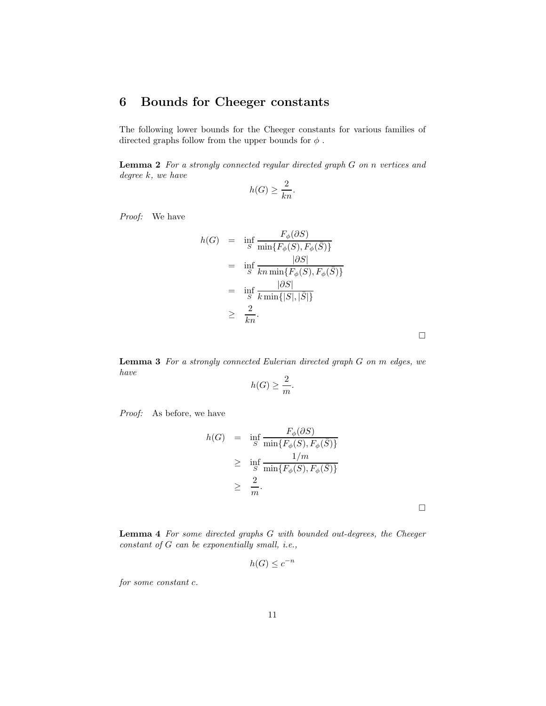### **6 Bounds for Cheeger constants**

The following lower bounds for the Cheeger constants for various families of directed graphs follow from the upper bounds for  $\phi$ .

**Lemma 2** *For a strongly connected regular directed graph* G *on* n *vertices and degree* k*, we have*

$$
h(G) \ge \frac{2}{kn}.
$$

*Proof:* We have

$$
h(G) = \inf_{S} \frac{F_{\phi}(\partial S)}{\min\{F_{\phi}(S), F_{\phi}(\bar{S})\}}
$$
  
= 
$$
\inf_{S} \frac{|\partial S|}{kn \min\{F_{\phi}(S), F_{\phi}(\bar{S})\}}
$$
  
= 
$$
\inf_{S} \frac{|\partial S|}{k \min\{|S|, |\bar{S}|\}}
$$
  

$$
\geq \frac{2}{kn}.
$$

 $\Box$ 

 $\Box$ 

**Lemma 3** *For a strongly connected Eulerian directed graph* G *on* m *edges, we have*  $\Omega$ 

$$
h(G) \ge \frac{2}{m}.
$$

*Proof:* As before, we have

$$
h(G) = \inf_{S} \frac{F_{\phi}(\partial S)}{\min\{F_{\phi}(S), F_{\phi}(\bar{S})\}}
$$
  
\n
$$
\geq \inf_{S} \frac{1/m}{\min\{F_{\phi}(S), F_{\phi}(\bar{S})\}}
$$
  
\n
$$
\geq \frac{2}{m}.
$$

**Lemma 4** *For some directed graphs* G *with bounded out-degrees, the Cheeger constant of* G *can be exponentially small, i.e.,*

$$
h(G) \le c^{-n}
$$

*for some constant* c*.*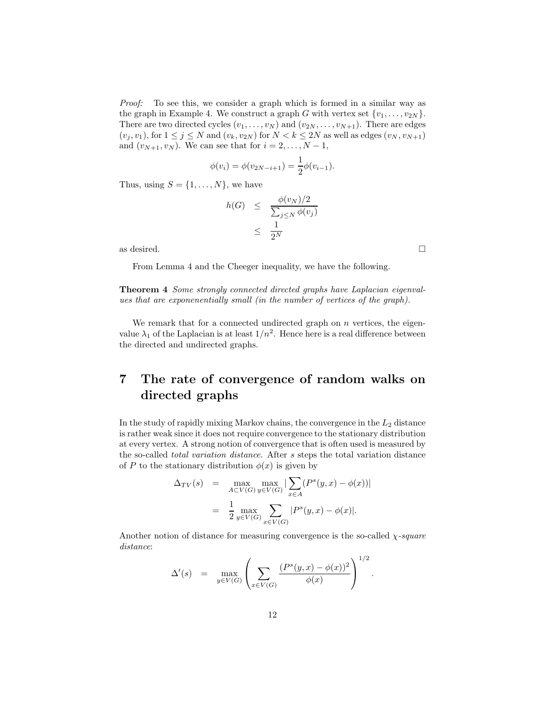*Proof:* To see this, we consider a graph which is formed in a similar way as the graph in Example 4. We construct a graph G with vertex set  $\{v_1,\ldots,v_{2N}\}.$ There are two directed cycles  $(v_1, \ldots, v_N)$  and  $(v_{2N}, \ldots, v_{N+1})$ . There are edges  $(v_j, v_1)$ , for  $1 \leq j \leq N$  and  $(v_k, v_{2N})$  for  $N < k \leq 2N$  as well as edges  $(v_N, v_{N+1})$ and  $(v_{N+1}, v_N)$ . We can see that for  $i = 2, \ldots, N-1$ ,

$$
\phi(v_i) = \phi(v_{2N-i+1}) = \frac{1}{2}\phi(v_{i-1}).
$$

Thus, using  $S = \{1, \ldots, N\}$ , we have

$$
h(G) \leq \frac{\phi(v_N)/2}{\sum_{j\leq N} \phi(v_j)} \leq \frac{1}{2^N}
$$

as desired.  $\Box$ 

From Lemma 4 and the Cheeger inequality, we have the following.

**Theorem 4** *Some strongly connected directed graphs have Laplacian eigenvalues that are exponenentially small (in the number of vertices of the graph).*

We remark that for a connected undirected graph on  $n$  vertices, the eigenvalue  $\lambda_1$  of the Laplacian is at least  $1/n^2$ . Hence here is a real difference between the directed and undirected graphs.

### **7 The rate of convergence of random walks on directed graphs**

In the study of rapidly mixing Markov chains, the convergence in the  $L_2$  distance is rather weak since it does not require convergence to the stationary distribution at every vertex. A strong notion of convergence that is often used is measured by the so-called *total variation distance*. After s steps the total variation distance of P to the stationary distribution  $\phi(x)$  is given by

$$
\Delta_{TV}(s) = \max_{A \subset V(G)} \max_{y \in V(G)} |\sum_{x \in A} (P^s(y, x) - \phi(x))|
$$
  
= 
$$
\frac{1}{2} \max_{y \in V(G)} \sum_{x \in V(G)} |P^s(y, x) - \phi(x)|.
$$

Another notion of distance for measuring convergence is the so-called χ*-square distance*:

$$
\Delta'(s) \quad = \quad \max_{y \in V(G)} \left( \sum_{x \in V(G)} \frac{(P^s(y,x) - \phi(x))^2}{\phi(x)} \right)^{1/2}.
$$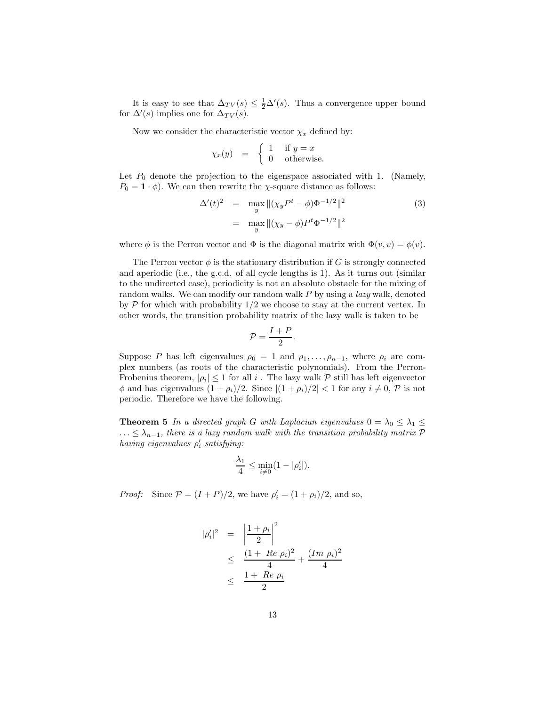It is easy to see that  $\Delta_{TV}(s) \leq \frac{1}{2}\Delta'(s)$ . Thus a convergence upper bound  $\Delta'(s)$  implies one for  $\Delta_{TV}(s)$ . for  $\Delta'(s)$  implies one for  $\Delta_{TV}(s)$ .

Now we consider the characteristic vector  $\chi_x$  defined by:

$$
\chi_x(y) = \begin{cases} 1 & \text{if } y = x \\ 0 & \text{otherwise.} \end{cases}
$$

Let  $P_0$  denote the projection to the eigenspace associated with 1. (Namely,  $P_0 = \mathbf{1} \cdot \phi$ . We can then rewrite the *χ*-square distance as follows:

$$
\Delta'(t)^2 = \max_{y} ||(\chi_y P^t - \phi)\Phi^{-1/2}||^2
$$
  
= 
$$
\max_{y} ||(\chi_y - \phi)P^t\Phi^{-1/2}||^2
$$
 (3)

where  $\phi$  is the Perron vector and  $\Phi$  is the diagonal matrix with  $\Phi(v, v) = \phi(v)$ .

The Perron vector  $\phi$  is the stationary distribution if G is strongly connected and aperiodic (i.e., the g.c.d. of all cycle lengths is 1). As it turns out (similar to the undirected case), periodicity is not an absolute obstacle for the mixing of random walks. We can modify our random walk P by using a *lazy* walk, denoted by  $P$  for which with probability  $1/2$  we choose to stay at the current vertex. In other words, the transition probability matrix of the lazy walk is taken to be

$$
\mathcal{P} = \frac{I+P}{2}.
$$

Suppose P has left eigenvalues  $\rho_0 = 1$  and  $\rho_1, \ldots, \rho_{n-1}$ , where  $\rho_i$  are complex numbers (as roots of the characteristic polynomials). From the Perron-Frobenius theorem,  $|\rho_i| \leq 1$  for all i. The lazy walk  $P$  still has left eigenvector  $\phi$  and has eigenvalues  $(1 + \rho_i)/2$ . Since  $|(1 + \rho_i)/2| < 1$  for any  $i \neq 0$ ,  $\mathcal{P}$  is not periodic. Therefore we have the following.

**Theorem 5** *In a directed graph* G *with Laplacian eigenvalues*  $0 = \lambda_0 \leq \lambda_1 \leq$ ...  $\leq \lambda_{n-1}$ , there is a lazy random walk with the transition probability matrix P  $having\,\,eigenvalues\,\,\rho_i^\prime\,\, satisfying:$ 

$$
\frac{\lambda_1}{4} \le \min_{i \neq 0} (1 - |\rho'_i|).
$$

*Proof:* Since  $P = (I + P)/2$ , we have  $\rho'_i = (1 + \rho_i)/2$ , and so,

$$
|\rho_i'|^2 = \left|\frac{1+\rho_i}{2}\right|^2
$$
  
 
$$
\leq \frac{(1+Re \rho_i)^2}{4} + \frac{(Im \rho_i)^2}{4}
$$
  
 
$$
\leq \frac{1+Re \rho_i}{2}
$$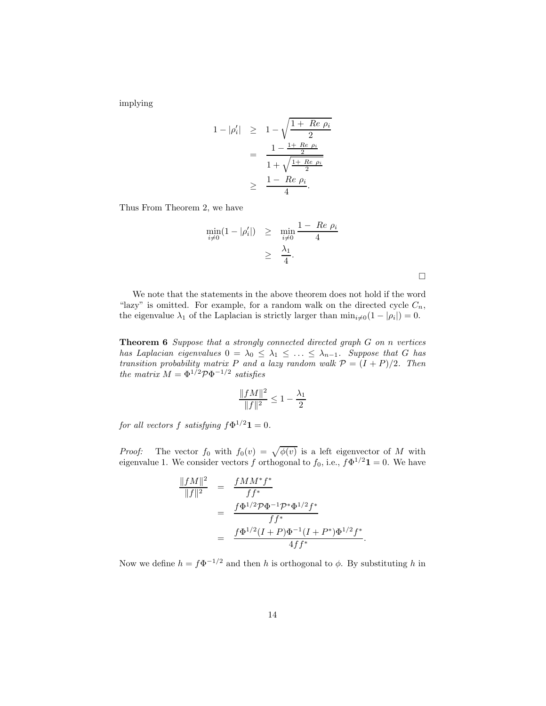implying

$$
1 - |\rho_i'| \geq 1 - \sqrt{\frac{1 + Re \rho_i}{2}}
$$
  
= 
$$
\frac{1 - \frac{1 + Re \rho_i}{2}}{1 + \sqrt{\frac{1 + Re \rho_i}{2}}}
$$
  

$$
\geq \frac{1 - Re \rho_i}{4}.
$$

Thus From Theorem 2, we have

$$
\min_{i \neq 0} (1 - |\rho'_i|) \geq \min_{i \neq 0} \frac{1 - Re \rho_i}{4}
$$

$$
\geq \frac{\lambda_1}{4}.
$$

We note that the statements in the above theorem does not hold if the word "lazy" is omitted. For example, for a random walk on the directed cycle  $C_n$ , the eigenvalue  $\lambda_1$  of the Laplacian is strictly larger than  $\min_{i\neq 0}(1 - |\rho_i|) = 0$ .

**Theorem 6** *Suppose that a strongly connected directed graph* G *on* n *vertices has Laplacian eigenvalues*  $0 = \lambda_0 \leq \lambda_1 \leq \ldots \leq \lambda_{n-1}$ *. Suppose that* G *has transition probability matrix* P and a lazy random walk  $P = (I + P)/2$ . Then *the matrix*  $M = \Phi^{1/2} \mathcal{P} \Phi^{-1/2}$  *satisfies* 

$$
\frac{\|fM\|^2}{\|f\|^2} \le 1 - \frac{\lambda_1}{2}
$$

*for all vectors f satisfying*  $f\Phi^{1/2}$ **1** = 0*.* 

*Proof:* The vector  $f_0$  with  $f_0(v) = \sqrt{\phi(v)}$  is a left eigenvector of M with eigenvalue 1. We consider vectors f orthogonal to  $f_0$ , i.e.,  $f\Phi^{1/2}\mathbf{1} = 0$ . We have

$$
\frac{\|fM\|^2}{\|f\|^2} = \frac{fMM^*f^*}{ff^*}
$$
  
= 
$$
\frac{f\Phi^{1/2}\mathcal{P}\Phi^{-1}\mathcal{P}^*\Phi^{1/2}f^*}{ff^*}
$$
  
= 
$$
\frac{f\Phi^{1/2}(I+P)\Phi^{-1}(I+P^*)\Phi^{1/2}f^*}{4ff^*}.
$$

Now we define  $h = f\Phi^{-1/2}$  and then h is orthogonal to  $\phi$ . By substituting h in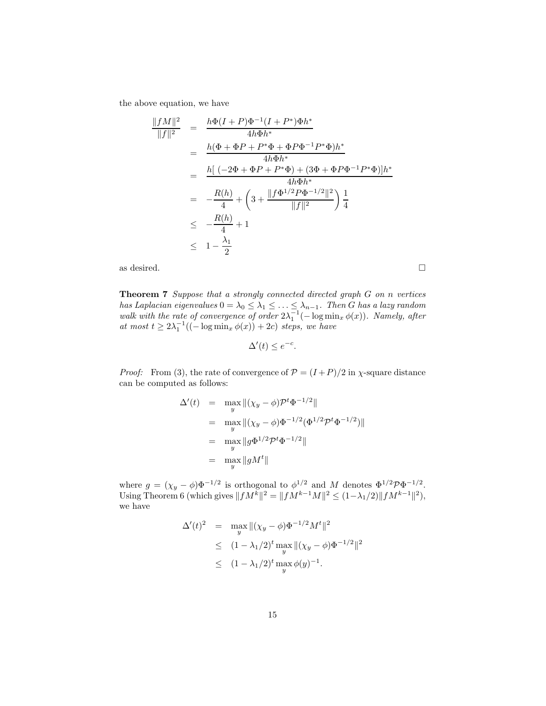the above equation, we have

$$
\frac{\|fM\|^2}{\|f\|^2} = \frac{h\Phi(I+P)\Phi^{-1}(I+P^*)\Phi h^*}{4h\Phi h^*}
$$
  
= 
$$
\frac{h(\Phi+\Phi P+P^*\Phi+\Phi P\Phi^{-1}P^*\Phi)h^*}{4h\Phi h^*}
$$
  
= 
$$
\frac{h[(-2\Phi+\Phi P+P^*\Phi)+(3\Phi+\Phi P\Phi^{-1}P^*\Phi)]h^*}{4h\Phi h^*}
$$
  
= 
$$
-\frac{R(h)}{4}+\left(3+\frac{\|f\Phi^{1/2}P\Phi^{-1/2}\|^2}{\|f\|^2}\right)\frac{1}{4}
$$
  

$$
\leq -\frac{R(h)}{4}+1
$$
  

$$
\leq 1-\frac{\lambda_1}{2}
$$

as desired.  $\Box$ 

**Theorem 7** *Suppose that a strongly connected directed graph* G *on* n *vertices* has Laplacian eigenvalues  $0 = \lambda_0 \leq \lambda_1 \leq \ldots \leq \lambda_{n-1}$ . Then G has a lazy random walk with the rate of convergence of order  $2\lambda_1^{-1}(-\log \min_x \phi(x))$ . Namely, after at most  $t \geq 2\lambda_1^{-1}((-\log \min_x \phi(x)) + 2c)$  steps, we have

 $\Delta'(t) \leq e^{-c}$ .

*Proof:* From (3), the rate of convergence of  $P = (I + P)/2$  in  $\chi$ -square distance can be computed as follows:

$$
\Delta'(t) = \max_{y} ||(\chi_y - \phi)\mathcal{P}^t \Phi^{-1/2}||
$$
  
=  $\max_{y} ||(\chi_y - \phi)\Phi^{-1/2}(\Phi^{1/2}\mathcal{P}^t \Phi^{-1/2})||$   
=  $\max_{y} ||g\Phi^{1/2}\mathcal{P}^t \Phi^{-1/2}||$   
=  $\max_{y} ||gM^t||$ 

where  $g = (\chi_y - \phi)\Phi^{-1/2}$  is orthogonal to  $\phi^{1/2}$  and M denotes  $\Phi^{1/2} \mathcal{P} \Phi^{-1/2}$ . Using Theorem 6 (which gives  $||fM^k||^2 = ||fM^{k-1}M||^2 \le (1-\lambda_1/2)||fM^{k-1}||^2$ ), we have

$$
\Delta'(t)^2 = \max_{y} \|(\chi_y - \phi)\Phi^{-1/2}M^t\|^2
$$
  
\n
$$
\leq (1 - \lambda_1/2)^t \max_{y} \|(\chi_y - \phi)\Phi^{-1/2}\|^2
$$
  
\n
$$
\leq (1 - \lambda_1/2)^t \max_{y} \phi(y)^{-1}.
$$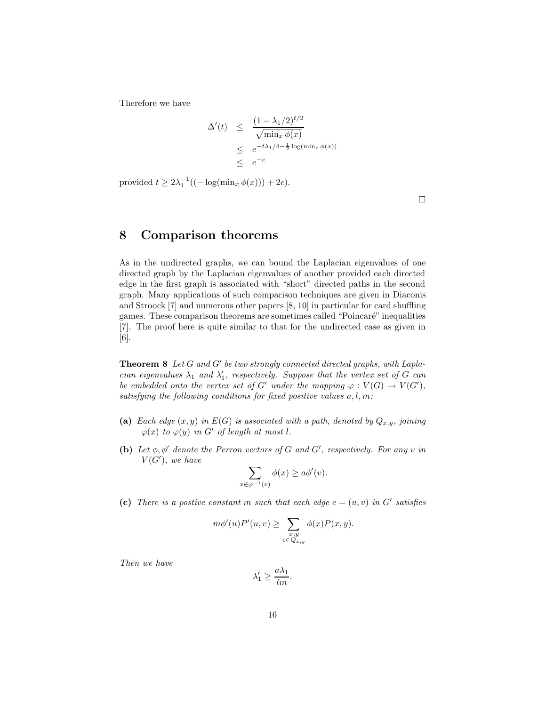Therefore we have

$$
\Delta'(t) \leq \frac{(1 - \lambda_1/2)^{t/2}}{\sqrt{\min_x \phi(x)}}
$$
  
 
$$
\leq e^{-t\lambda_1/4 - \frac{1}{2}\log(\min_x \phi(x))}
$$
  
 
$$
\leq e^{-c}
$$

provided  $t \ge 2\lambda_1^{-1}((-\log(\min_x \phi(x)))+2c).$ 

 $\Box$ 

### **8 Comparison theorems**

As in the undirected graphs, we can bound the Laplacian eigenvalues of one directed graph by the Laplacian eigenvalues of another provided each directed edge in the first graph is associated with "short" directed paths in the second graph. Many applications of such comparison techniques are given in Diaconis and Stroock [7] and numerous other papers [8, 10] in particular for card shuffling games. These comparison theorems are sometimes called "Poincaré" inequalities [7]. The proof here is quite similar to that for the undirected case as given in [6].

**Theorem 8** *Let* G and G' be two strongly connected directed graphs, with Lapla*cian eigenvalues*  $\lambda_1$  *and*  $\lambda'_1$ , respectively. Suppose that the vertex set of G can<br>be embedded onto the vertex set of  $G'$  under the manning  $\varphi: V(G) \to V(G')$ *be embedded onto the vertex set of*  $G'$  *under the mapping*  $\varphi: V(G) \to V(G')$ , *satisfying the following conditions for fixed positive values* a, l, m*:*

- (a) *Each edge*  $(x, y)$  *in*  $E(G)$  *is associated with a path, denoted by*  $Q_{x,y}$ *, joining*  $\varphi(x)$  *to*  $\varphi(y)$  *in G' of length at most l*.
- **(b)** Let  $\phi, \phi'$  denote the Perron vectors of G and G', respectively. For any v in  $V(G')$ , we have

$$
\sum_{x \in \varphi^{-1}(v)} \phi(x) \ge a\phi'(v).
$$

(c) There is a postive constant m such that each edge  $e = (u, v)$  in G' satisfies

$$
m\phi'(u)P'(u,v) \ge \sum_{\substack{x,y \\ e \in Q_{x,y}}} \phi(x)P(x,y).
$$

*Then we have*

$$
\lambda_1' \ge \frac{a\lambda_1}{lm}.
$$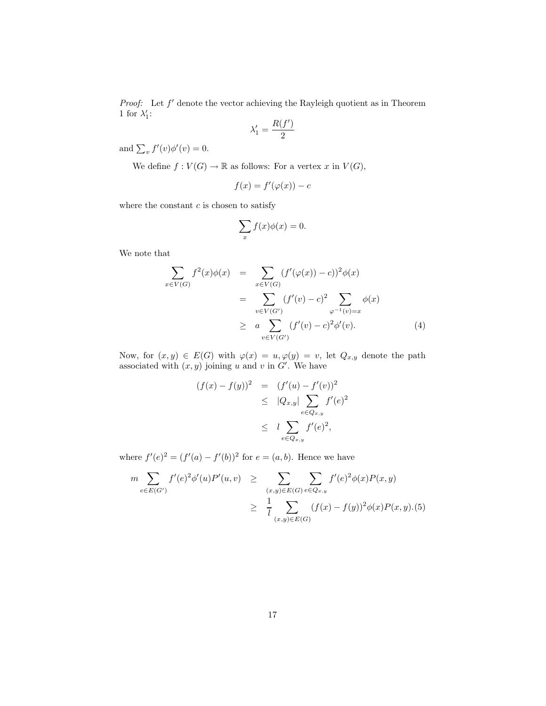*Proof:* Let  $f'$  denote the vector achieving the Rayleigh quotient as in Theorem 1 for  $\lambda'_1$ :

$$
\lambda_1' = \frac{R(f')}{2}
$$

and  $\sum_{v} f'(v) \phi'(v) = 0.$ 

We define  $f: V(G) \to \mathbb{R}$  as follows: For a vertex x in  $V(G)$ ,

$$
f(x) = f'(\varphi(x)) - c
$$

where the constant  $c$  is chosen to satisfy

$$
\sum_{x} f(x)\phi(x) = 0.
$$

We note that

$$
\sum_{x \in V(G)} f^{2}(x)\phi(x) = \sum_{x \in V(G)} (f'(\varphi(x)) - c))^{2}\phi(x)
$$
\n
$$
= \sum_{v \in V(G')} (f'(v) - c)^{2} \sum_{\varphi^{-1}(v) = x} \phi(x)
$$
\n
$$
\geq a \sum_{v \in V(G')} (f'(v) - c)^{2}\phi'(v).
$$
\n(4)

Now, for  $(x, y) \in E(G)$  with  $\varphi(x) = u, \varphi(y) = v$ , let  $Q_{x,y}$  denote the path associated with  $(x, y)$  joining u and v in G'. We have

$$
(f(x) - f(y))^{2} = (f'(u) - f'(v))^{2}
$$
  
\n
$$
\leq |Q_{x,y}| \sum_{e \in Q_{x,y}} f'(e)^{2}
$$
  
\n
$$
\leq l \sum_{e \in Q_{x,y}} f'(e)^{2},
$$

where  $f'(e)^2 = (f'(a) - f'(b))^2$  for  $e = (a, b)$ . Hence we have

$$
m \sum_{e \in E(G')} f'(e)^2 \phi'(u) P'(u, v) \ge \sum_{(x,y) \in E(G)} \sum_{e \in Q_{x,y}} f'(e)^2 \phi(x) P(x, y)
$$
  
 
$$
\ge \frac{1}{l} \sum_{(x,y) \in E(G)} (f(x) - f(y))^2 \phi(x) P(x, y). (5)
$$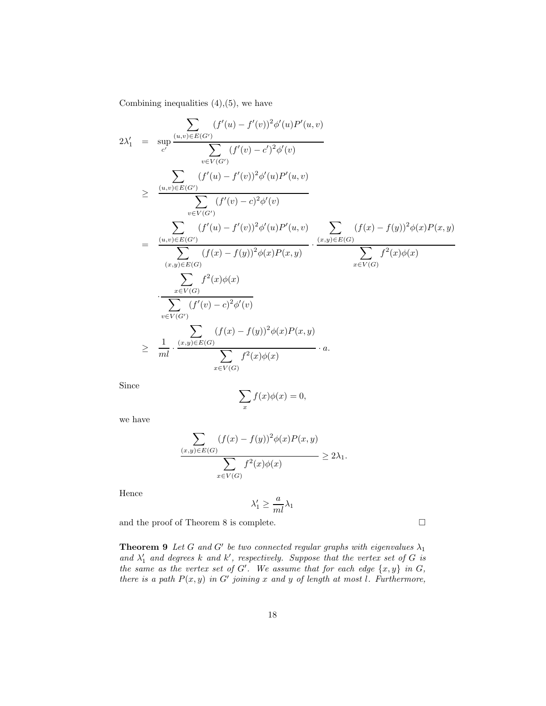Combining inequalities  $(4)$ , $(5)$ , we have

$$
2\lambda'_{1} = \sup_{c'} \frac{\sum_{(u,v)\in E(G')} (f'(u) - f'(v))^{2} \phi'(u) P'(u,v)}{\sum_{v\in V(G')}} \\
\geq \frac{\sum_{(u,v)\in E(G')} (f'(u) - f'(v))^{2} \phi'(u) P'(u,v)}{\sum_{v\in V(G')}} \\
= \frac{\sum_{(u,v)\in E(G')} (f'(u) - f'(v))^{2} \phi'(v)}{\sum_{v\in V(G')} (f'(u) - f'(v))^{2} \phi'(u) P'(u,v)} \cdot \frac{\sum_{(x,y)\in E(G)} (f(x) - f(y))^{2} \phi(x) P(x,y)}{\sum_{(x,y)\in E(G)} (f(x) - f(y))^{2} \phi(x) P(x,y)} \\
= \frac{\sum_{(u,v)\in E(G')} (f(x) - f(y))^{2} \phi(x) P(x,y)}{\sum_{v\in V(G)} f^{2}(x) \phi(x)} \\
= \frac{\sum_{v\in V(G')} (f'(v) - c)^{2} \phi'(v)}{\sum_{v\in V(G')} (f(x) - f(y))^{2} \phi(x) P(x,y)} \\
\geq \frac{1}{m l} \cdot \frac{(x,y)\in E(G)}{\sum_{x\in V(G)} f^{2}(x) \phi(x)} \cdot a.
$$

Since

$$
\sum_{x} f(x)\phi(x) = 0,
$$

we have

$$
\frac{\sum_{(x,y)\in E(G)} (f(x) - f(y))^2 \phi(x) P(x,y)}{\sum_{x\in V(G)} f^2(x)\phi(x)} \ge 2\lambda_1.
$$

Hence

$$
\lambda_1' \geq \frac{a}{ml}\lambda_1
$$

and the proof of Theorem 8 is complete.  $\hfill \Box$ 

**Theorem 9** *Let* G and G' be two connected regular graphs with eigenvalues  $\lambda_1$ and  $\lambda'_1$  and degrees k and k', respectively. Suppose that the vertex set of G is<br>the same as the vertex set of  $C'$ . We assume that for each odes [x, y) in G *the same as the vertex set of*  $G'$ . We assume that for each edge  $\{x, y\}$  in  $G$ , *there is a path*  $P(x, y)$  *in*  $G'$  *joining* x and y of length at most l. Furthermore,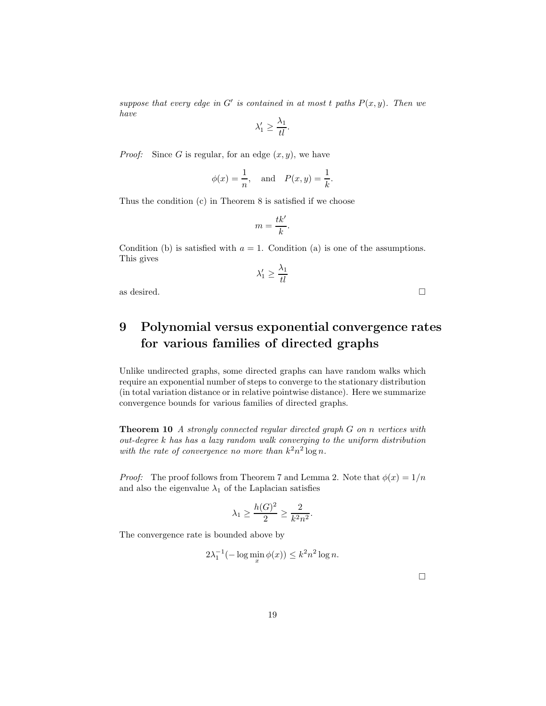*suppose that every edge in*  $G'$  *is contained in at most t paths*  $P(x, y)$ *. Then we have*

$$
\lambda'_1 \ge \frac{\lambda_1}{tl}.
$$

*Proof:* Since G is regular, for an edge  $(x, y)$ , we have

$$
\phi(x) = \frac{1}{n}, \quad \text{and} \quad P(x, y) = \frac{1}{k}.
$$

Thus the condition (c) in Theorem 8 is satisfied if we choose

$$
m=\frac{tk'}{k}.
$$

Condition (b) is satisfied with  $a = 1$ . Condition (a) is one of the assumptions. This gives

$$
\lambda'_1 \ge \frac{\lambda_1}{tl}
$$

as desired.  $\Box$ 

### **9 Polynomial versus exponential convergence rates for various families of directed graphs**

Unlike undirected graphs, some directed graphs can have random walks which require an exponential number of steps to converge to the stationary distribution (in total variation distance or in relative pointwise distance). Here we summarize convergence bounds for various families of directed graphs.

**Theorem 10** *A strongly connected regular directed graph* G *on* n *vertices with out-degree* k *has has a lazy random walk converging to the uniform distribution with the rate of convergence no more than*  $k^2 n^2 \log n$ .

*Proof:* The proof follows from Theorem 7 and Lemma 2. Note that  $\phi(x)=1/n$ and also the eigenvalue  $\lambda_1$  of the Laplacian satisfies

$$
\lambda_1 \ge \frac{h(G)^2}{2} \ge \frac{2}{k^2 n^2}.
$$

The convergence rate is bounded above by

$$
2\lambda_1^{-1}(-\log\min_x \phi(x)) \le k^2 n^2 \log n.
$$

 $\Box$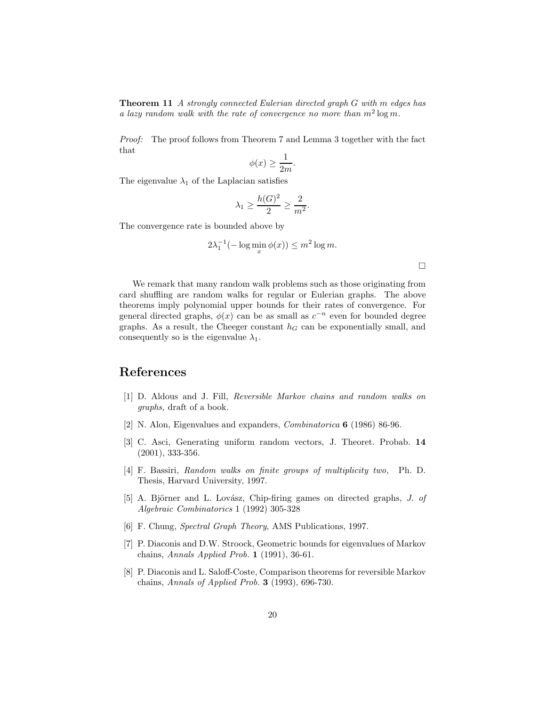**Theorem 11** *A strongly connected Eulerian directed graph* G *with* m *edges has a lazy random walk with the rate of convergence no more than*  $m^2 \log m$ .

*Proof:* The proof follows from Theorem 7 and Lemma 3 together with the fact that

$$
\phi(x) \ge \frac{1}{2m}.
$$

The eigenvalue  $\lambda_1$  of the Laplacian satisfies

$$
\lambda_1 \ge \frac{h(G)^2}{2} \ge \frac{2}{m^2}.
$$

The convergence rate is bounded above by

$$
2\lambda_1^{-1}(-\log\min_x \phi(x)) \le m^2 \log m.
$$

 $\Box$ 

We remark that many random walk problems such as those originating from card shuffling are random walks for regular or Eulerian graphs. The above theorems imply polynomial upper bounds for their rates of convergence. For general directed graphs,  $\phi(x)$  can be as small as  $c^{-n}$  even for bounded degree graphs. As a result, the Cheeger constant  $h<sub>G</sub>$  can be exponentially small, and consequently so is the eigenvalue  $\lambda_1$ .

#### **References**

- [1] D. Aldous and J. Fill, *Reversible Markov chains and random walks on graphs,* draft of a book.
- [2] N. Alon, Eigenvalues and expanders, *Combinatorica* **6** (1986) 86-96.
- [3] C. Asci, Generating uniform random vectors, J. Theoret. Probab. **14** (2001), 333-356.
- [4] F. Bassiri, *Random walks on finite groups of multiplicity two,* Ph. D. Thesis, Harvard University, 1997.
- [5] A. Björner and L. Lovász, Chip-firing games on directed graphs, *J. of Algebraic Combinatorics* 1 (1992) 305-328
- [6] F. Chung, *Spectral Graph Theory*, AMS Publications, 1997.
- [7] P. Diaconis and D.W. Stroock, Geometric bounds for eigenvalues of Markov chains, *Annals Applied Prob.* **1** (1991), 36-61.
- [8] P. Diaconis and L. Saloff-Coste, Comparison theorems for reversible Markov chains, *Annals of Applied Prob.* **3** (1993), 696-730.